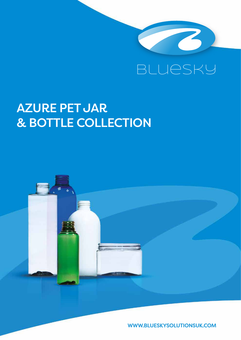

# AZURE PET JAR & BOTTLE COLLECTION



WWW.BLUESKYSOLUTIONSUK.COM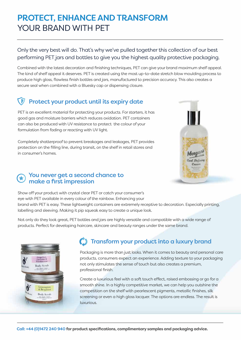# PROTECT, ENHANCE AND TRANSFORM YOUR BRAND WITH PET

Only the very best will do. That's why we've pulled together this collection of our best performing PET jars and bottles to give you the highest quality protective packaging.

Combined with the latest decoration and finishing techniques, PET can give your brand maximum shelf appeal. The kind of shelf appeal it deserves. PET is created using the most up-to-date stretch blow moulding process to produce high gloss, flawless finish bottles and jars, manufactured to precision accuracy. This also creates a secure seal when combined with a Bluesky cap or dispensing closure.

# Protect your product until its expiry date

PET is an excellent material for protecting your products. For starters, it has good gas and moisture barriers which reduces oxidation. PET containers can also be produced with UV resistance to protect the colour of your formulation from fading or reacting with UV light.

Completely shatterproof to prevent breakages and leakages, PET provides protection on the filling line, during transit, on the shelf in retail stores and in consumer's homes.



## You never get a second chance to make a first impression

Show off your product with crystal clear PET or catch your consumer's eye with PET available in every colour of the rainbow. Enhancing your

brand with PET is easy. These lightweight containers are extremely receptive to decoration. Especially printing, labelling and sleeving. Making it pip squeak easy to create a unique look.

Not only do they look great, PET bottles and jars are highly versatile and compatible with a wide range of products. Perfect for developing haircare, skincare and beauty ranges under the same brand.



# **(1)** Transform your product into a luxury brand

Packaging is more than just looks. When it comes to beauty and personal care products, consumers expect an experience. Adding texture to your packaging not only stimulates the sense of touch but also creates a premium, professional finish.

Create a luxurious feel with a soft touch effect, raised embossing or go for a smooth shine. In a highly competitive market, we can help you outshine the competition on the shelf with pearlescent pigments, metallic finishes, silk screening or even a high gloss lacquer. The options are endless. The result is luxurious.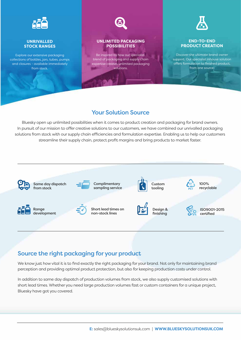

#### **UNRIVALLED STOCK RANGES**

Explore our extensive packaging collections of bottles, jars, tubes, pumps and closures - available immediately from stock.



### **UNLIMITED PACKAGING POSSIBILITIES**

Be inspired by how our specialist blend of packaging and supply chain expertise creates unlimited packaging solutions.



#### **END-TO-END PRODUCT CREATION**

Discover the ultimate brand owner support. Our specialist inhouse solution offers formulation to finished product, from one source.

## Your Solution Source

Bluesky open up unlimited possibilities when it comes to product creation and packaging for brand owners. In pursuit of our mission to offer creative solutions to our customers, we have combined our unrivalled packaging solutions from stock with our supply chain efficiencies and formulation expertise. Enabling us to help our customers streamline their supply chain, protect profit margins and bring products to market faster.



## Source the right packaging for your product

We know just how vital it is to find exactly the right packaging for your brand. Not only for maintaining brand perception and providing optimal product protection, but also for keeping production costs under control.

In addition to same day dispatch of production volumes from stock, we also supply customised solutions with short lead times. Whether you need large production volumes fast or custom containers for a unique project, Bluesky have got you covered.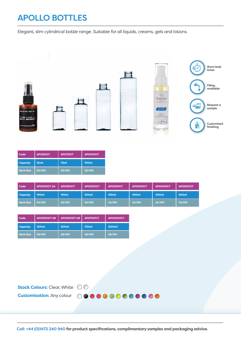# APOLLO BOTTLES

Elegant, slim cylindrical bottle range. Suitable for all liquids, creams, gels and lotions.



| Code             | APO501CT         | APO751CT | <b>APO1001CT</b> |  |
|------------------|------------------|----------|------------------|--|
| <b>Capacity</b>  | 50 <sub>ml</sub> | 75ml     | 100ml            |  |
| <b>Neck Size</b> | 20/410           | 20/410   | 20/410           |  |

| Code            | APO1001CT-24 | <b>APO1501CT</b> | <b>APO2001CT</b> | <b>APO2501CT</b> | <b>APO3001CT</b> | <b>APO4001CT</b> | <b>APO5001CT</b> |
|-----------------|--------------|------------------|------------------|------------------|------------------|------------------|------------------|
| <b>Capacity</b> | 100ml        | 150ml            | <b>200ml</b>     | <b>250ml</b>     | 300ml            | 400ml            | 500ml            |
| Neck Size       | 24/410       | 24/410           | 24/410           | 24/410           | 24/410           | 24/410           | 24/410           |

| Code             | APO3001CT-28<br>APO5001CT-28 |              | <b>APO7501CT</b> | <b>APO10001CT</b> |
|------------------|------------------------------|--------------|------------------|-------------------|
| <b>Capacity</b>  | 300ml                        | <b>500ml</b> | <b>750ml</b>     | 1000ml            |
| <b>Neck Size</b> | 28/410                       | 28/410       | 28/410           | 28/410            |

| <b>Stock Colours:</b> Clear, White $\oslash$ |                                               |
|----------------------------------------------|-----------------------------------------------|
|                                              | <b>Customisation:</b> Any colour 000000000000 |

Call: +44 (0)1472 240 940 for product specifications, complimentary samples and packaging advice.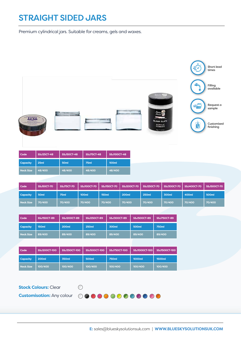# STRAIGHT SIDED JARS

Premium cylindrical jars. Suitable for creams, gels and waxes.

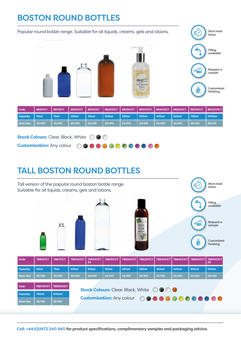# BOSTON ROUND BOTTLES

| Popular round bottle range. Suitable for all liquids, creams, gels and lotions.<br>₹ |                |                |                 |                 |                 |                 |                                                                                           |                 | Short lead<br>times |                 |                         |
|--------------------------------------------------------------------------------------|----------------|----------------|-----------------|-----------------|-----------------|-----------------|-------------------------------------------------------------------------------------------|-----------------|---------------------|-----------------|-------------------------|
|                                                                                      |                |                |                 |                 |                 |                 |                                                                                           |                 |                     |                 | Filling<br>available    |
|                                                                                      |                |                |                 |                 |                 |                 | Morg                                                                                      |                 |                     |                 | Request a<br>sample     |
|                                                                                      |                |                |                 |                 |                 |                 | Card Definit<br>Cusan<br><b>Business</b><br><b>TANK OF AN</b><br><b>Service Council</b> y |                 |                     |                 | Customised<br>finishing |
| Code                                                                                 | <b>BR501CT</b> | <b>BR751CT</b> | <b>BR1001CT</b> | <b>BR1501CT</b> | <b>BR2001CT</b> | <b>BR2501CT</b> | <b>BR3001CT</b>                                                                           | <b>BR4001CT</b> | <b>BR5001CT</b>     | <b>BR7501CT</b> | <b>BR10001CT</b>        |
| Capacity                                                                             | 50ml           | 75ml           | 100ml           | 150ml           | <b>200ml</b>    | <b>250ml</b>    | 300ml                                                                                     | 400ml           | 500ml               | <b>750ml</b>    | 1000ml                  |
| <b>Neck Size</b>                                                                     | 20/410         | 20/410         | 20/410          | 24/410          | 24/410          | 24/410          | 24/410                                                                                    | 24/410          | 24/410              | 28/410          | 28/410                  |
| <b>Stock Colours:</b> Clear, Black, White<br>$\sqrt{2}$                              |                |                |                 |                 |                 |                 |                                                                                           |                 |                     |                 |                         |

**Customisation:** Any colour 0000000000000

# TALL BOSTON ROUND BOTTLES



Call: +44 (0)1472 240 940 for product specifications, complimentary samples and packaging advice.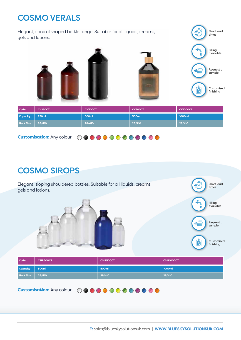# COSMO VERALS

Elegant, conical shaped bottle range. Suitable for all liquids, creams, gels and lotions.



Short lead times

| Code            | <b>CV250CT</b> | CV300CT | <b>CV500CT</b> | <b>CV1000CT</b> |
|-----------------|----------------|---------|----------------|-----------------|
| <b>Capacity</b> | 250ml          | 300ml   | 500ml          | 1000ml          |
| Neck Size       | 28/410         | 28/410  | 28/410         | 28/410          |

**Customisation:** Any colour

# COSMO SIROPS



**Customisation:** Any colour 0000000000000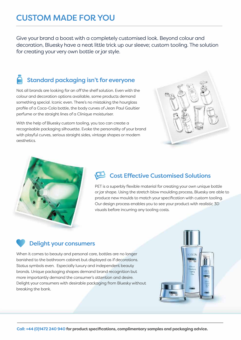# CUSTOM MADE FOR YOU

Give your brand a boost with a completely customised look. Beyond colour and decoration, Bluesky have a neat little trick up our sleeve; custom tooling. The solution for creating your very own bottle or jar style.

# Standard packaging isn't for everyone

Not all brands are looking for an off the shelf solution. Even with the colour and decoration options available, some products demand something special. Iconic even. There's no mistaking the hourglass profile of a Coca-Cola bottle, the body curves of Jean Paul Gaultier perfume or the straight lines of a Clinique moisturiser.

With the help of Bluesky custom tooling, you too can create a recognisable packaging silhouette. Evoke the personality of your brand with playful curves, serious straight sides, vintage shapes or modern aesthetics.





# **Cost Effective Customised Solutions**

PET is a superbly flexible material for creating your own unique bottle or jar shape. Using the stretch blow moulding process, Bluesky are able to produce new moulds to match your specification with custom tooling. Our design process enables you to see your product with realistic 3D visuals before incurring any tooling costs.

## Delight your consumers

When it comes to beauty and personal care, bottles are no longer banished to the bathroom cabinet but displayed as if decorations. Status symbols even. Especially luxury and independent beauty brands. Unique packaging shapes demand brand recognition but more importantly demand the consumer's attention and desire. Delight your consumers with desirable packaging from Bluesky without breaking the bank.

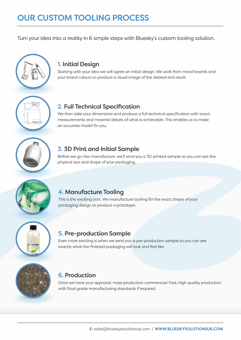Turn your idea into a reality in 6 simple steps with Bluesky's custom tooling solution.



## 1. Initial Design

Starting with your idea we will agree an initial design. We work from mood boards and your brand colours to produce a visual image of the desired end result.

## 2. Full Technical Specification

We then take your dimensions and produce a full technical specification with exact measurements and material details of what is achievable. This enables us to make an accurate model for you.

## 3. 3D Print and Initial Sample

Before we go into manufacture, we'll send you a 3D printed sample so you can see the physical size and shape of your packaging.



## 4. Manufacture Tooling

This is the exciting part. We manufacture tooling for the exact shape of your packaging design to produce a prototype.



## 5. Pre-production Sample

Even more exciting is when we send you a pre-production sample so you can see exactly what the finished packaging will look and feel like.



## 6. Production

Once we have your approval, mass production commences! Fast, high quality production with food grade manufacturing standards if required.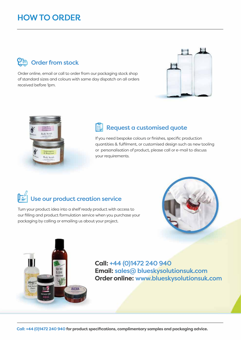# HOW TO ORDER

# **OR** Order from stock

Order online, email or call to order from our packaging stock shop of standard sizes and colours with same day dispatch on all orders received before 1pm.





# Request a customised quote

If you need bespoke colours or finishes, specific production quantities & fulfilment, or customised design such as new tooling or personalisation of product, please call or e-mail to discuss your requirements.

# $\left\| \begin{matrix} \mathbb{Z}^{\mathbb{Z}} \\ \mathbb{Z}^{\mathbb{Z}} \end{matrix} \right\|$  Use our product creation service

Turn your product idea into a shelf ready product with access to our filling and product formulation service when you purchase your packaging by calling or emailing us about your project.





**Call:** +44 (0)1472 240 940 **Email:** sales@ blueskysolutionsuk.com **Order online:** www.blueskysolutionsuk.com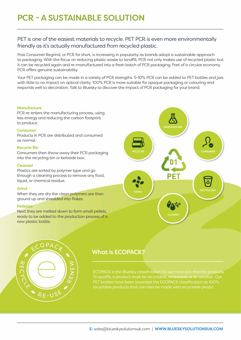## PET is one of the easiest materials to recycle. PET PCR is even more environmentally friendly as it's actually manufactured from recycled plastic.

Post Consumer Regrind, or PCR for short, is increasing in popularity as brands adopt a sustainable approach to packaging. With the focus on reducing plastic waste to landfill, PCR not only makes use of recycled plastic but it can be recycled again and re-manufactured into a fresh batch of PCR packaging. Part of a circular economy. PCR offers genuine sustainability.

Your PET packaging can be made in a variety of PCR strengths. 5-10% PCR can be added to PET bottles and jars with little to no impact on optical clarity. 100% PCR is more suitable for opaque packaging or colouring and responds well to decoration. Talk to Bluesky to discover the impact of PCR packaging for your brand.

#### **Manufacture**

PCR re-enters the manufacturing process, using less energy and reducing the carbon footprint to produce.

#### Consumer

Products in PCR are distributed and consumed as normal.

#### Recycle Bin

Consumers then throw away their PCR packaging into the recycling bin or kerbside box.

#### Cleaned

Plastics are sorted by polymer type and go through a cleaning process to remove any food, liquid, or chemical residue.

#### Grind

When they are dry the clean polymers are then ground up and shredded into flakes.

#### Pelletise

Next they are melted down to form small pellets, ready to be added to the production process of a new plastic bottle.





## What is ECOPACK?

ECOPACK is the Bluesky classification for our most eco-friendly products. To qualify, a product must be recyclable, renewable or re-useable. Our PET bottles have been awarded the ECOPACK classification as 100% recyclable products that can also be made with recyclable plastic.